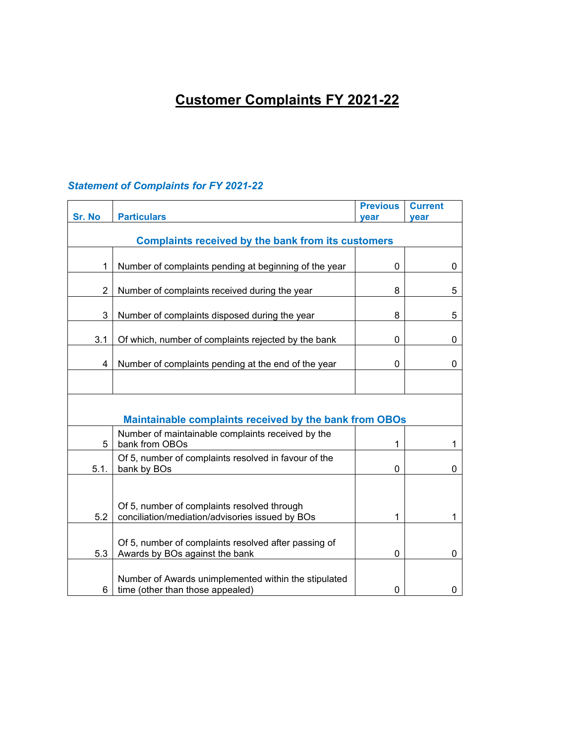## **Customer Complaints FY 2021-22**

## *Statement of Complaints for FY 2021-22*

| Sr. No                                                    | <b>Particulars</b>                                                                             | <b>Previous</b><br>vear | <b>Current</b><br>vear |  |  |  |  |  |
|-----------------------------------------------------------|------------------------------------------------------------------------------------------------|-------------------------|------------------------|--|--|--|--|--|
| <b>Complaints received by the bank from its customers</b> |                                                                                                |                         |                        |  |  |  |  |  |
| 1                                                         | Number of complaints pending at beginning of the year                                          | 0                       | 0                      |  |  |  |  |  |
| $\overline{2}$                                            | Number of complaints received during the year                                                  | 8                       | 5                      |  |  |  |  |  |
| 3                                                         | Number of complaints disposed during the year                                                  | 8                       | 5                      |  |  |  |  |  |
| 3.1                                                       | Of which, number of complaints rejected by the bank                                            | 0                       | 0                      |  |  |  |  |  |
| 4                                                         | Number of complaints pending at the end of the year                                            | 0                       | 0                      |  |  |  |  |  |
|                                                           |                                                                                                |                         |                        |  |  |  |  |  |
| Maintainable complaints received by the bank from OBOs    |                                                                                                |                         |                        |  |  |  |  |  |
| 5                                                         | Number of maintainable complaints received by the<br>bank from OBOs                            | 1                       | 1                      |  |  |  |  |  |
| 5.1.                                                      | Of 5, number of complaints resolved in favour of the<br>bank by BOs                            | 0                       | 0                      |  |  |  |  |  |
|                                                           |                                                                                                |                         |                        |  |  |  |  |  |
| 5.2                                                       | Of 5, number of complaints resolved through<br>conciliation/mediation/advisories issued by BOs | 1                       | 1                      |  |  |  |  |  |
| 5.3                                                       | Of 5, number of complaints resolved after passing of<br>Awards by BOs against the bank         | 0                       | 0                      |  |  |  |  |  |
| 6                                                         | Number of Awards unimplemented within the stipulated<br>time (other than those appealed)       | 0                       | 0                      |  |  |  |  |  |